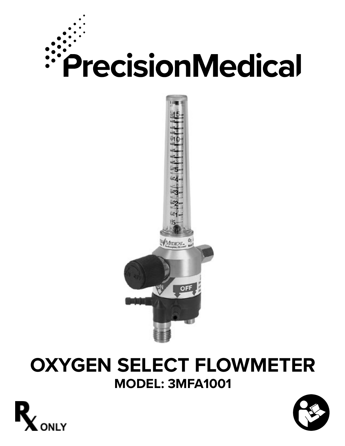

# **OXYGEN SELECT FLOWMETER MODEL: 3MFA1001**



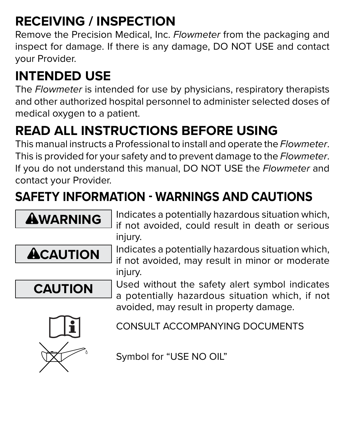## **RECEIVING / INSPECTION**

Remove the Precision Medical, Inc. *Flowmeter* from the packaging and inspect for damage. If there is any damage, DO NOT USE and contact your Provider.

# **INTENDED USE**

The *Flowmeter* is intended for use by physicians, respiratory therapists and other authorized hospital personnel to administer selected doses of medical oxygen to a patient.

# **READ ALL INSTRUCTIONS BEFORE USING**

This manual instructs a Professional to install and operate the *Flowmeter*. This is provided for your safety and to prevent damage to the *Flowmeter*. If you do not understand this manual, DO NOT USE the *Flowmeter* and contact your Provider.

# **SAFETY INFORMATION - WARNINGS AND CAUTIONS**

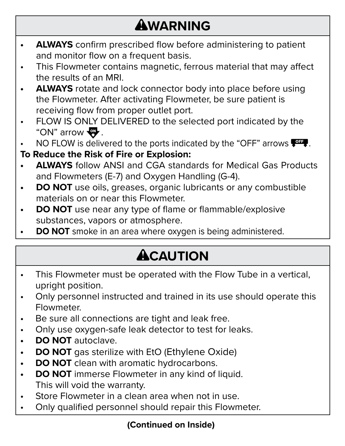# **AWARNING**

- **• ALWAYS** confirm prescribed flow before administering to patient and monitor flow on a frequent basis.
- This Flowmeter contains magnetic, ferrous material that may affect the results of an MRI.
- **• ALWAYS** rotate and lock connector body into place before using the Flowmeter. After activating Flowmeter, be sure patient is receiving flow from proper outlet port.
- FLOW IS ONLY DELIVERED to the selected port indicated by the "ON" arrow  $\mathbf{\mathbf{\mathbb{F}}}.$

NO FLOW is delivered to the ports indicated by the "OFF" arrows  $\frac{1}{2}$ .

### **To Reduce the Risk of Fire or Explosion:**

- **• ALWAYS** follow ANSI and CGA standards for Medical Gas Products and Flowmeters (E-7) and Oxygen Handling (G-4).
- **• DO NOT** use oils, greases, organic lubricants or any combustible materials on or near this Flowmeter.
- **DO NOT** use near any type of flame or flammable/explosive substances, vapors or atmosphere.
- **• DO NOT** smoke in an area where oxygen is being administered.

# **ACAUTION**

- This Flowmeter must be operated with the Flow Tube in a vertical, upright position.
- Only personnel instructed and trained in its use should operate this **Flowmeter**
- Be sure all connections are tight and leak free.
- Only use oxygen-safe leak detector to test for leaks.
- **• DO NOT** autoclave.
- **• DO NOT** gas sterilize with EtO (Ethylene Oxide)
- **• DO NOT** clean with aromatic hydrocarbons.
- **• DO NOT** immerse Flowmeter in any kind of liquid. This will void the warranty.
- Store Flowmeter in a clean area when not in use.
- Only qualified personnel should repair this Flowmeter.

### **(Continued on Inside)**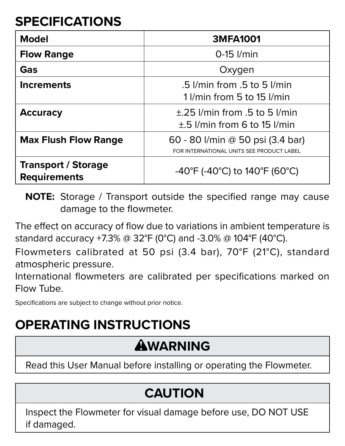## **SPECIFICATIONS**

| Model                                             | 3MFA1001                                                                      |
|---------------------------------------------------|-------------------------------------------------------------------------------|
| <b>Flow Range</b>                                 | $0-15$ $l/min$                                                                |
| Gas                                               | Oxygen                                                                        |
| <b>Increments</b>                                 | $.5$ I/min from $.5$ to $5$ I/min<br>1 I/min from 5 to 15 I/min               |
| <b>Accuracy</b>                                   | $+25$ l/min from $.5$ to 5 l/min<br>$\pm$ .5 $l$ /min from 6 to 15 $l$ /min   |
| <b>Max Flush Flow Range</b>                       | 60 - 80 I/min @ 50 psi (3.4 bar)<br>FOR INTERNATIONAL UNITS SEE PRODUCT LABEL |
| <b>Transport / Storage</b><br><b>Requirements</b> | -40°F (-40°C) to 140°F (60°C)                                                 |

**NOTE:** Storage / Transport outside the specified range may cause damage to the flowmeter.

The effect on accuracy of flow due to variations in ambient temperature is standard accuracy +7.3% @ 32°F (0°C) and -3.0% @ 104°F (40°C).

Flowmeters calibrated at 50 psi (3.4 bar), 70°F (21°C), standard atmospheric pressure.

International flowmeters are calibrated per specifications marked on Flow Tube.

Specifications are subject to change without prior notice.

### **OPERATING INSTRUCTIONS**

## **AWARNING**

Read this User Manual before installing or operating the Flowmeter.

### **CAUTION**

Inspect the Flowmeter for visual damage before use, DO NOT USE if damaged.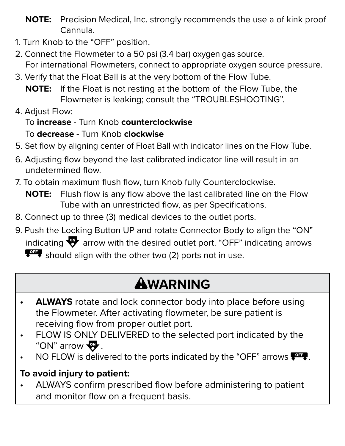- **NOTE:** Precision Medical, Inc. strongly recommends the use a of kink proof Cannula.
- 1. Turn Knob to the "OFF" position.
- 2. Connect the Flowmeter to a 50 psi (3.4 bar) oxygen gas source. For international Flowmeters, connect to appropriate oxygen source pressure.
- 3. Verify that the Float Ball is at the very bottom of the Flow Tube.
	- **NOTE:** If the Float is not resting at the bottom of the Flow Tube, the Flowmeter is leaking; consult the "TROUBLESHOOTING".
- 4. Adjust Flow:

#### To **increase** - Turn Knob **counterclockwise**

#### To **decrease** - Turn Knob **clockwise**

- 5. Set flow by aligning center of Float Ball with indicator lines on the Flow Tube.
- 6. Adjusting flow beyond the last calibrated indicator line will result in an undetermined flow.
- 7. To obtain maximum flush flow, turn Knob fully Counterclockwise.
	- **NOTE:** Flush flow is any flow above the last calibrated line on the Flow Tube with an unrestricted flow, as per Specifications.
- 8. Connect up to three (3) medical devices to the outlet ports.
- 9. Push the Locking Button UP and rotate Connector Body to align the "ON" indicating  $\overline{\mathbf{w}}$  arrow with the desired outlet port. "OFF" indicating arrows  $\bullet$  should align with the other two (2) ports not in use.

# **AWARNING**

- **• ALWAYS** rotate and lock connector body into place before using the Flowmeter. After activating flowmeter, be sure patient is receiving flow from proper outlet port.
- FLOW IS ONLY DELIVERED to the selected port indicated by the "ON" arrow  $\mathbf{\mathbf{\mathcal{F}}}.$
- NO FLOW is delivered to the ports indicated by the "OFF" arrows  $\overline{\mathbf{P}^{\text{ref}}}.$

### **To avoid injury to patient:**

• ALWAYS confirm prescribed flow before administering to patient and monitor flow on a frequent basis.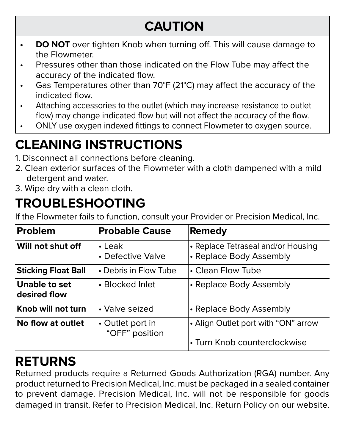## **CAUTION**

- **DO NOT** over tighten Knob when turning off. This will cause damage to the Flowmeter.
- Pressures other than those indicated on the Flow Tube may affect the accuracy of the indicated flow.
- Gas Temperatures other than 70°F (21°C) may affect the accuracy of the indicated flow.
- Attaching accessories to the outlet (which may increase resistance to outlet flow) may change indicated flow but will not affect the accuracy of the flow.
- ONLY use oxygen indexed fittings to connect Flowmeter to oxygen source.

## **CLEANING INSTRUCTIONS**

- 1. Disconnect all connections before cleaning.
- 2. Clean exterior surfaces of the Flowmeter with a cloth dampened with a mild detergent and water.
- 3. Wipe dry with a clean cloth.

## **TROUBLESHOOTING**

If the Flowmeter fails to function, consult your Provider or Precision Medical, Inc.

| <b>Problem</b>                | <b>Probable Cause</b>              | Remedy                                                              |
|-------------------------------|------------------------------------|---------------------------------------------------------------------|
| Will not shut off             | $\cdot$   eak<br>• Defective Valve | • Replace Tetraseal and/or Housing<br>• Replace Body Assembly       |
| <b>Sticking Float Ball</b>    | • Debris in Flow Tube              | • Clean Flow Tube                                                   |
| Unable to set<br>desired flow | • Blocked Inlet                    | • Replace Body Assembly                                             |
| Knob will not turn            | • Valve seized                     | • Replace Body Assembly                                             |
| No flow at outlet             | • Outlet port in<br>"OFF" position | • Align Outlet port with "ON" arrow<br>• Turn Knob counterclockwise |

### **RETURNS**

Returned products require a Returned Goods Authorization (RGA) number. Any product returned to Precision Medical, Inc. must be packaged in a sealed container to prevent damage. Precision Medical, Inc. will not be responsible for goods damaged in transit. Refer to Precision Medical, Inc. Return Policy on our website.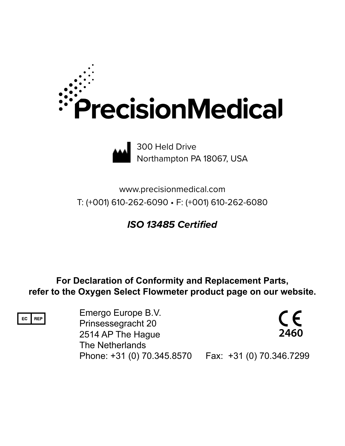



300 Held Drive Northampton PA 18067, USA

www.precisionmedical.com T: (+001) 610-262-6090 • F: (+001) 610-262-6080

*ISO 13485 Certified*

**For Declaration of Conformity and Replacement Parts, refer to the Oxygen Select Flowmeter product page on our website.**

EC REP

Emergo Europe B.V. Prinsessegracht 20 2514 AP The Hague The Netherlands Phone: +31 (0) 70.345.8570 Fax: +31 (0) 70.346.7299